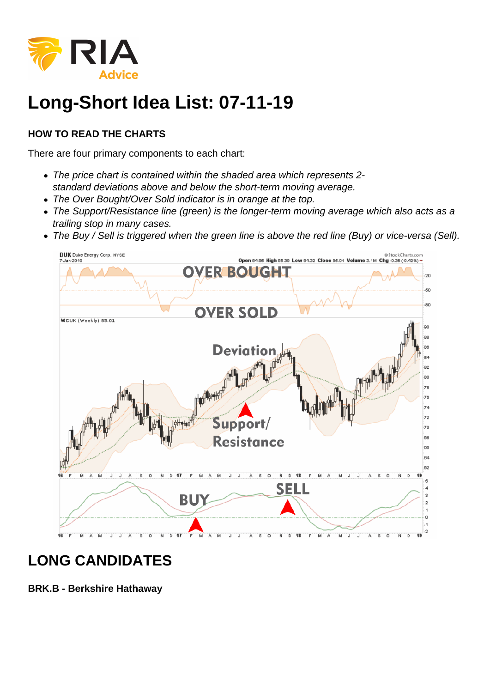

## **Long-Short Idea List: 07-11-19**

## **HOW TO READ THE CHARTS**

There are four primary components to each chart:

- The price chart is contained within the shaded area which represents 2 standard deviations above and below the short-term moving average.
- The Over Bought/Over Sold indicator is in orange at the top.
- The Support/Resistance line (green) is the longer-term moving average which also acts as a trailing stop in many cases.
- The Buy / Sell is triggered when the green line is above the red line (Buy) or vice-versa (Sell).



## **LONG CANDIDATES**

**BRK.B - Berkshire Hathaway**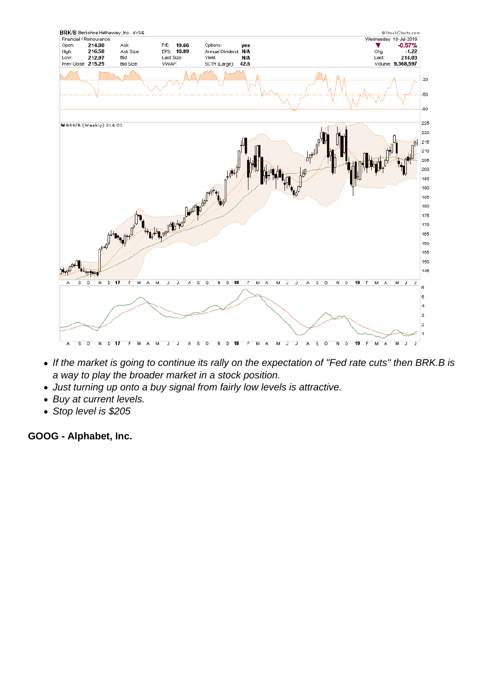- If the market is going to continue its rally on the expectation of "Fed rate cuts" then BRK.B is a way to play the broader market in a stock position.
- Just turning up onto a buy signal from fairly low levels is attractive.
- Buy at current levels.
- Stop level is \$205

GOOG - Alphabet, Inc.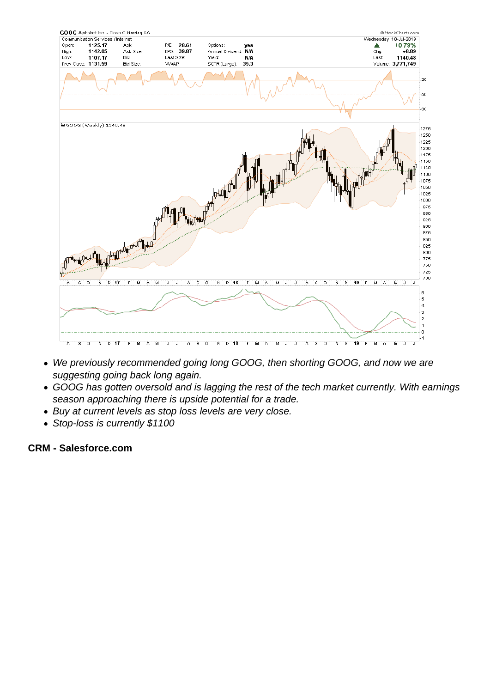- We previously recommended going long GOOG, then shorting GOOG, and now we are suggesting going back long again.
- GOOG has gotten oversold and is lagging the rest of the tech market currently. With earnings season approaching there is upside potential for a trade.
- Buy at current levels as stop loss levels are very close.
- Stop-loss is currently \$1100

CRM - Salesforce.com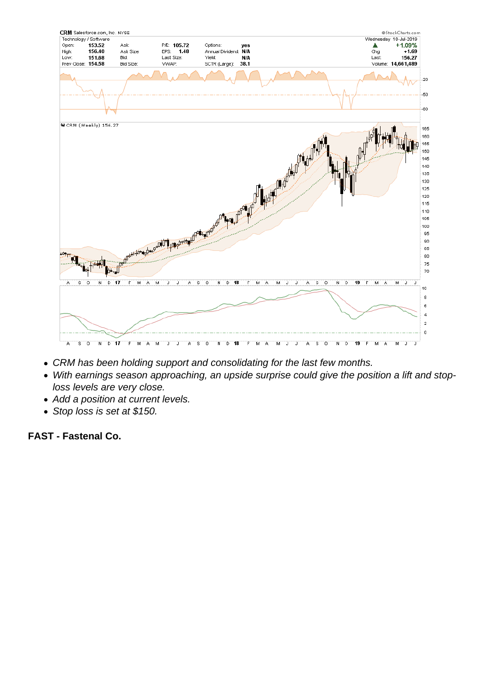- CRM has been holding support and consolidating for the last few months.
- With earnings season approaching, an upside surprise could give the position a lift and stoploss levels are very close.
- Add a position at current levels.
- Stop loss is set at \$150.

FAST - Fastenal Co.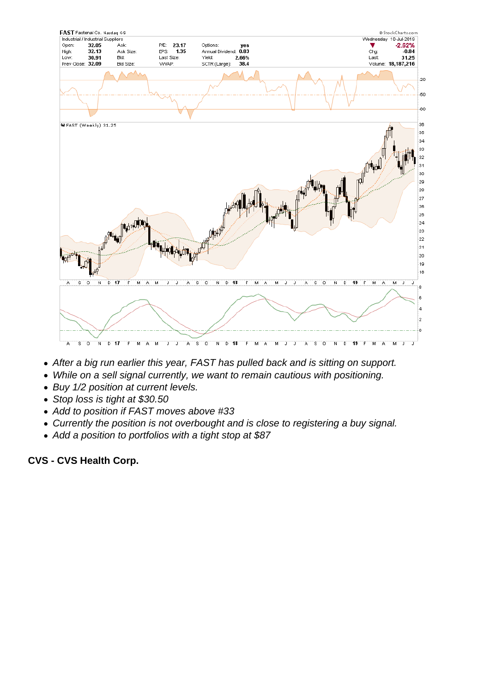- After a big run earlier this year, FAST has pulled back and is sitting on support.
- While on a sell signal currently, we want to remain cautious with positioning.
- Buy 1/2 position at current levels.
- Stop loss is tight at \$30.50
- Add to position if FAST moves above #33
- Currently the position is not overbought and is close to registering a buy signal.
- Add a position to portfolios with a tight stop at \$87

CVS - CVS Health Corp.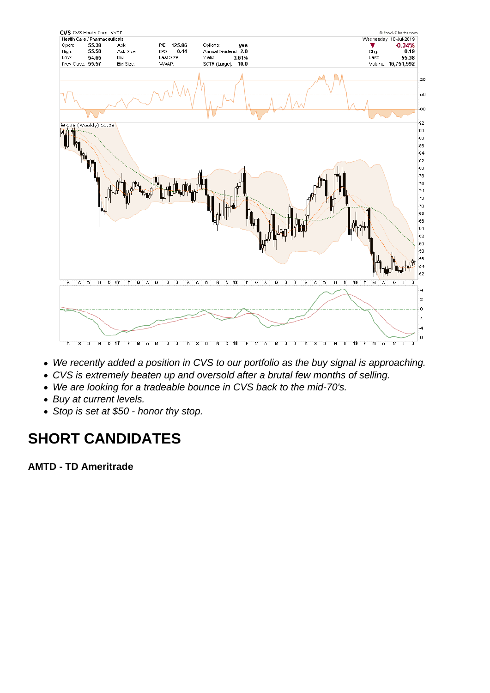- We recently added a position in CVS to our portfolio as the buy signal is approaching.
- CVS is extremely beaten up and oversold after a brutal few months of selling.
- We are looking for a tradeable bounce in CVS back to the mid-70's.
- Buy at current levels.
- Stop is set at \$50 honor thy stop.

## SHORT CANDIDATES

AMTD - TD Ameritrade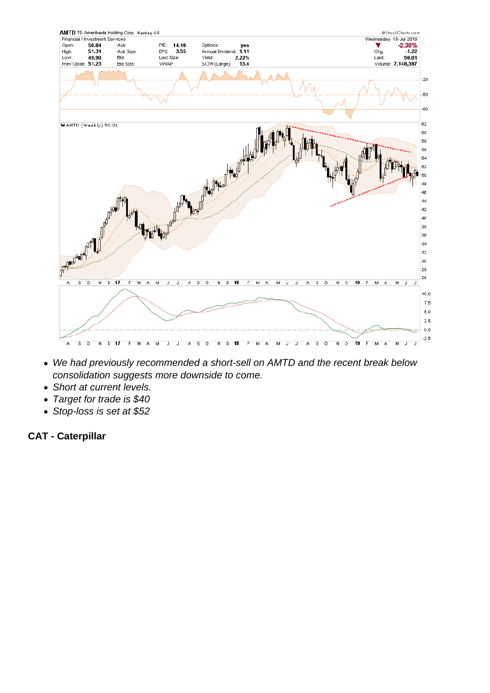- We had previously recommended a short-sell on AMTD and the recent break below consolidation suggests more downside to come.
- Short at current levels.
- Target for trade is \$40
- Stop-loss is set at \$52

CAT - Caterpillar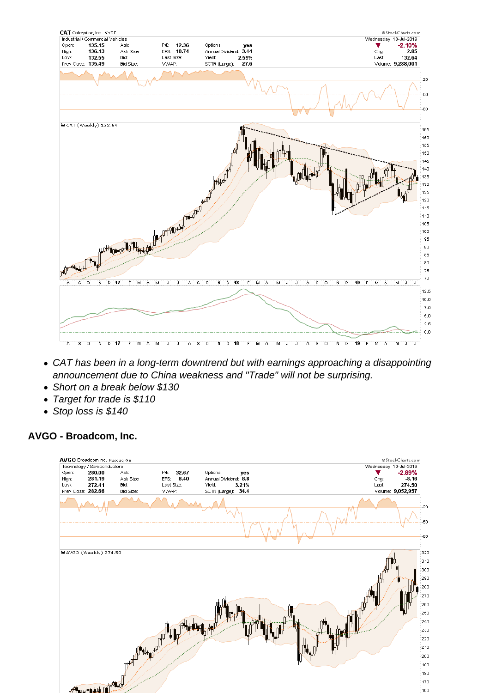- CAT has been in a long-term downtrend but with earnings approaching a disappointing announcement due to China weakness and "Trade" will not be surprising.
- Short on a break below \$130
- Target for trade is \$110
- Stop loss is \$140

AVGO - Broadcom, Inc.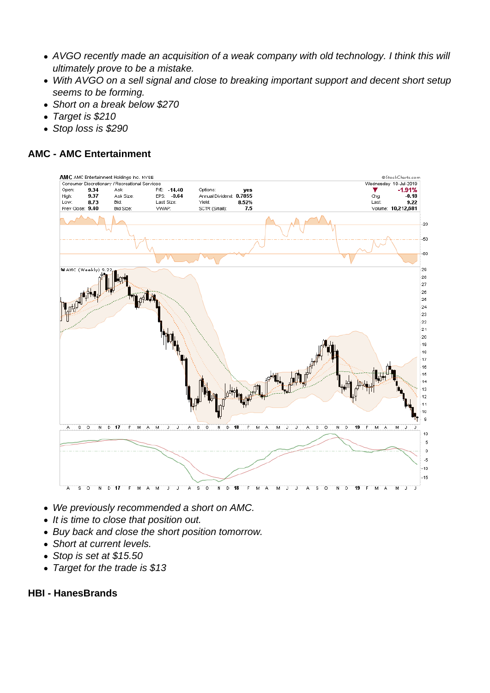- AVGO recently made an acquisition of a weak company with old technology. I think this will ultimately prove to be a mistake.
- With AVGO on a sell signal and close to breaking important support and decent short setup seems to be forming.
- Short on a break below \$270
- Target is \$210
- Stop loss is \$290

AMC - AMC Entertainment

- We previously recommended a short on AMC.
- It is time to close that position out.
- Buy back and close the short position tomorrow.
- Short at current levels.
- Stop is set at \$15.50
- Target for the trade is \$13

HBI - HanesBrands